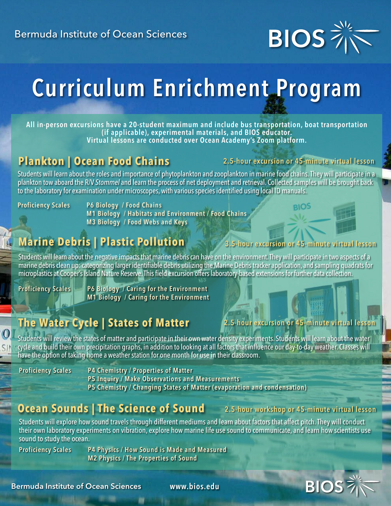

# Curriculum Enrichment Program

All in-person excursions have a 20-student maximum and include bus transportation, boat transportation Virtual lessons are conducted over Ocean Academy's Zoom platform.

### **Plankton | Ocean Food Chains**

#### 2.5-hour excursion or 45-minute virtual lesson

Students will learn about the roles and importance of phytoplankton and zooplankton in marine food chains.They will participate in a plankton tow aboard the R/V *Stommel* and learn the process of net deployment and retrieval. Collected samples will be brought back to the laboratory for examination under microscopes, with various species identified using local ID manuals.

Proficiency Scales P6 Biology / Food Chains M1 Biology / Habitats and Environment / Food Chains M3 Biology / Food Webs and Keys

# **Marine Debris | Plastic Pollution**

#### 3.5-hour excursion or 45-minute v

2.5-hour excursion or 45-minute virtual lesson

Students will learn about the negative impacts that marine debris can have on the environment. They will participate in two aspects of a marine debris clean up: categorizing larger identifiable debris utilizing the Marine Debris tracker application, and sampling quadrats for microplastics at Cooper's Island Nature Reserve. This field excursion offers laboratory-based extensions for further data collection.

Proficiency Scales P6 Biology / Caring for the Environment M1 Biology / Caring for the Environment

# **The Water Cycle | States of Matter**

# Students will review the states of matter and participate in their own water density experiments. Students will learn about the water

cycle and build their own precipitation graphs, in addition to looking at all factors that influence our day-to-day weather. Classes will have the option of taking home a weather station for one month for use in their classroom.

 $\omega$ 

Proficiency Scales P4 Chemistry / Properties of Matter

P5 Inquiry / Make Observations and Measurements

P5 Chemistry / Changing States of Matter (evaporation and condensation)

### **Ocean Sounds | The Science of Sound** 2.5-hour workshop or 45-minute virtual lesson

Students will explore how sound travels through different mediums and learn about factors that affect pitch. They will conduct their own laboratory experiments on vibration, explore how marine life use sound to communicate, and learn how scientists use sound to study the ocean.

Proficiency Scales P4 Physics / How Sound is Made and Measured M2 Physics / The Properties of Sound



Bermuda Institute of Ocean Sciences

www.bios.edu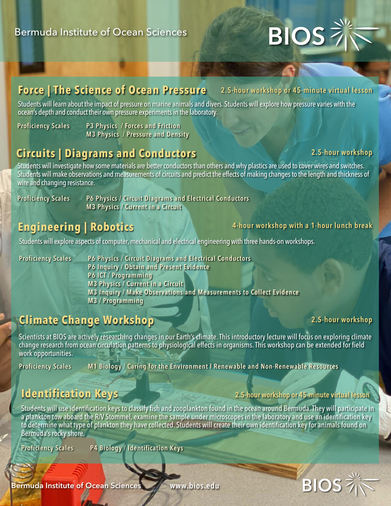# **BIOS**

#### **Force | The Science of Ocean Pressure** 2.5-hour workshop or 45-minute virtual lesson

Students will learn about the impact of pressure on marine animals and divers. Students will explore how pressure varies with the ocean's depth and conduct their own pressure experiments in the laboratory.

Proficiency Scales P3 Physics / Forces and Friction M3 Physics / Pressure and Density

# **Circuits | Diagrams and Conductors**

#### 2.5-hour workshop

Students will investigate how some materials are better conductors than others and why plastics are used to cover wires and switches. Students will make observations and measurements of circuits and predict the effects of making changesto the length and thickness of wire and changing resistance.

Proficiency Scales Allen P6 Physics / Circuit Diagrams and Electrical Conductors M3 Physics / Current in a Circuit

# **Engineering | Robotics**

#### 4-hour workshop with a 1-hour lunch break

Students will explore aspects of computer, mechanical and electrical engineering with three hands-on workshops.

Proficiency Scales P6 Physics / Circuit Diagrams and Electrical Conductors P6 Inquiry / Obtain and Present Evidence P6 ICT / Programming M3 Physics / Current in a Circuit M3 Inquiry / Make Observations and Measurements to Collect Evidence M3 / Programming

# **Climate Change Workshop**

#### 2.5-hour workshop

**BIOS** 

Scientists at BIOS are actively researching changes in our Earth's climate. This introductory lecture will focus on exploring climate change research from ocean circulation patterns to physiological effects in organisms.This workshop can be extended for field work opportunities.

Proficiency Scales M1 Biology / Caring for the Environment l Renewable and Non-Renewable Resources

#### **Identification Keys**

#### 2.5-hour workshop or 45-minute virtual lesson

Students will use identification keys to classify fish and zooplankton found in the ocean around Bermuda.They will participate in a plankton tow aboard the R/V Stommel, examine the sample under microscopes in the laboratory and use an identification key to determine what type of plankton they have collected. Students will create their own identification keyfor animals found on Bermuda's rockyshore.

Proficiency Scales P4 Biology / Identification Keys

Bermuda Institute of Ocean Sciences

www.bios.edu